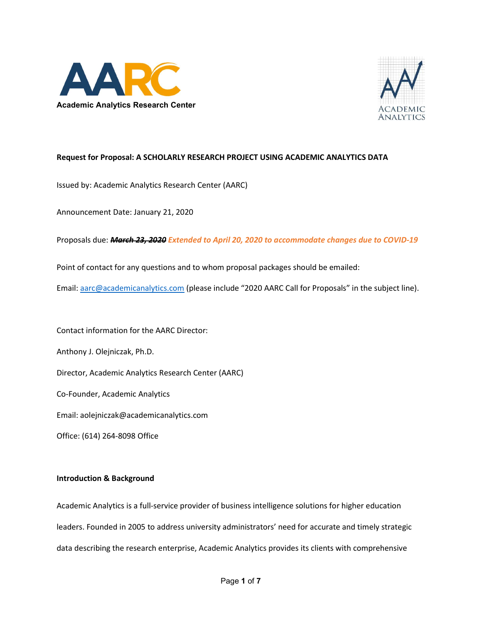



# Request for Proposal: A SCHOLARLY RESEARCH PROJECT USING ACADEMIC ANALYTICS DATA

Issued by: Academic Analytics Research Center (AARC)

Announcement Date: January 21, 2020

Proposals due: March 23, 2020 Extended to April 20, 2020 to accommodate changes due to COVID-19

Point of contact for any questions and to whom proposal packages should be emailed:

Email: aarc@academicanalytics.com (please include "2020 AARC Call for Proposals" in the subject line).

Contact information for the AARC Director:

Anthony J. Olejniczak, Ph.D.

Director, Academic Analytics Research Center (AARC)

Co-Founder, Academic Analytics

Email: aolejniczak@academicanalytics.com

Office: (614) 264-8098 Office

### Introduction & Background

Academic Analytics is a full-service provider of business intelligence solutions for higher education leaders. Founded in 2005 to address university administrators' need for accurate and timely strategic data describing the research enterprise, Academic Analytics provides its clients with comprehensive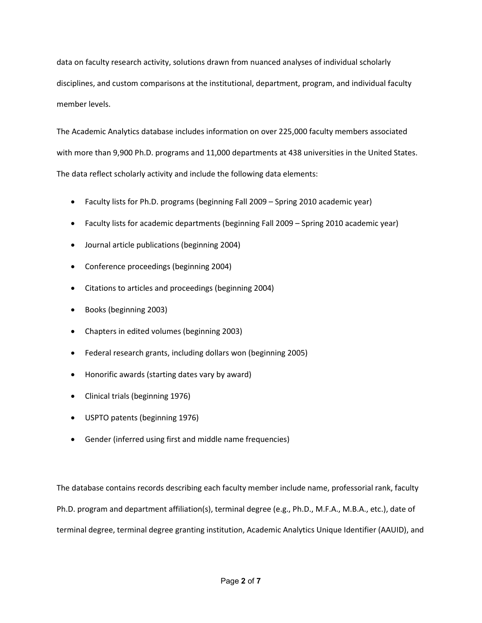data on faculty research activity, solutions drawn from nuanced analyses of individual scholarly disciplines, and custom comparisons at the institutional, department, program, and individual faculty member levels.

The Academic Analytics database includes information on over 225,000 faculty members associated with more than 9,900 Ph.D. programs and 11,000 departments at 438 universities in the United States. The data reflect scholarly activity and include the following data elements:

- Faculty lists for Ph.D. programs (beginning Fall 2009 Spring 2010 academic year)
- Faculty lists for academic departments (beginning Fall 2009 Spring 2010 academic year)
- Journal article publications (beginning 2004)
- Conference proceedings (beginning 2004)
- Citations to articles and proceedings (beginning 2004)
- Books (beginning 2003)
- Chapters in edited volumes (beginning 2003)
- Federal research grants, including dollars won (beginning 2005)
- Honorific awards (starting dates vary by award)
- Clinical trials (beginning 1976)
- USPTO patents (beginning 1976)
- Gender (inferred using first and middle name frequencies)

The database contains records describing each faculty member include name, professorial rank, faculty Ph.D. program and department affiliation(s), terminal degree (e.g., Ph.D., M.F.A., M.B.A., etc.), date of terminal degree, terminal degree granting institution, Academic Analytics Unique Identifier (AAUID), and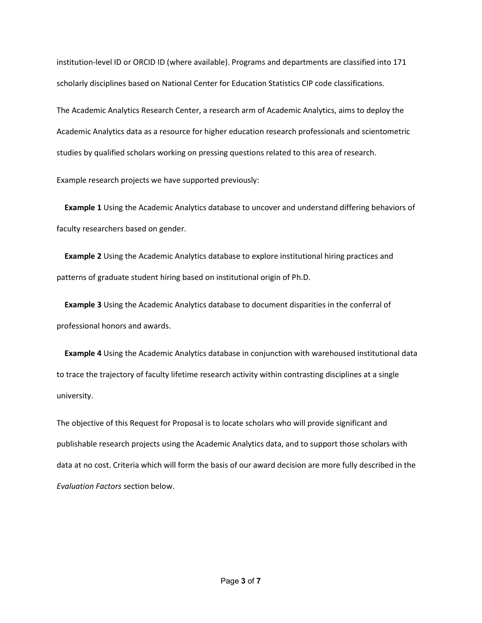institution-level ID or ORCID ID (where available). Programs and departments are classified into 171 scholarly disciplines based on National Center for Education Statistics CIP code classifications.

The Academic Analytics Research Center, a research arm of Academic Analytics, aims to deploy the Academic Analytics data as a resource for higher education research professionals and scientometric studies by qualified scholars working on pressing questions related to this area of research.

Example research projects we have supported previously:

 Example 1 Using the Academic Analytics database to uncover and understand differing behaviors of faculty researchers based on gender.

 Example 2 Using the Academic Analytics database to explore institutional hiring practices and patterns of graduate student hiring based on institutional origin of Ph.D.

 Example 3 Using the Academic Analytics database to document disparities in the conferral of professional honors and awards.

 Example 4 Using the Academic Analytics database in conjunction with warehoused institutional data to trace the trajectory of faculty lifetime research activity within contrasting disciplines at a single university.

The objective of this Request for Proposal is to locate scholars who will provide significant and publishable research projects using the Academic Analytics data, and to support those scholars with data at no cost. Criteria which will form the basis of our award decision are more fully described in the Evaluation Factors section below.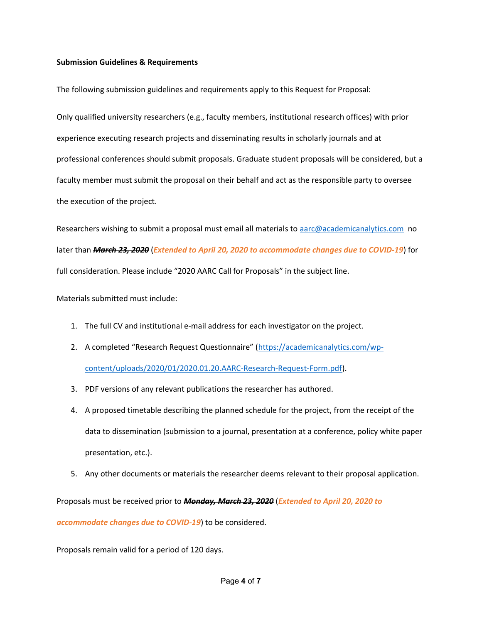### Submission Guidelines & Requirements

The following submission guidelines and requirements apply to this Request for Proposal:

Only qualified university researchers (e.g., faculty members, institutional research offices) with prior experience executing research projects and disseminating results in scholarly journals and at professional conferences should submit proposals. Graduate student proposals will be considered, but a faculty member must submit the proposal on their behalf and act as the responsible party to oversee the execution of the project.

Researchers wishing to submit a proposal must email all materials to aarc@academicanalytics.com no later than March 23, 2020 (Extended to April 20, 2020 to accommodate changes due to COVID-19) for full consideration. Please include "2020 AARC Call for Proposals" in the subject line.

Materials submitted must include:

- 1. The full CV and institutional e-mail address for each investigator on the project.
- 2. A completed "Research Request Questionnaire" (https://academicanalytics.com/wpcontent/uploads/2020/01/2020.01.20.AARC-Research-Request-Form.pdf).
- 3. PDF versions of any relevant publications the researcher has authored.
- 4. A proposed timetable describing the planned schedule for the project, from the receipt of the data to dissemination (submission to a journal, presentation at a conference, policy white paper presentation, etc.).
- 5. Any other documents or materials the researcher deems relevant to their proposal application.

Proposals must be received prior to Monday, March 23, 2020 (Extended to April 20, 2020 to

accommodate changes due to COVID-19) to be considered.

Proposals remain valid for a period of 120 days.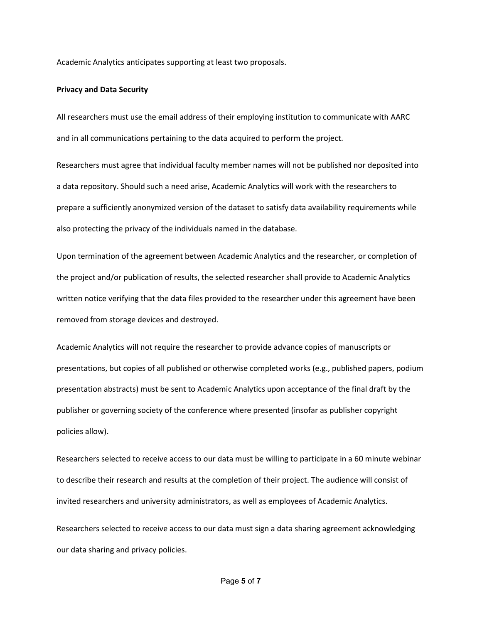Academic Analytics anticipates supporting at least two proposals.

#### Privacy and Data Security

All researchers must use the email address of their employing institution to communicate with AARC and in all communications pertaining to the data acquired to perform the project.

Researchers must agree that individual faculty member names will not be published nor deposited into a data repository. Should such a need arise, Academic Analytics will work with the researchers to prepare a sufficiently anonymized version of the dataset to satisfy data availability requirements while also protecting the privacy of the individuals named in the database.

Upon termination of the agreement between Academic Analytics and the researcher, or completion of the project and/or publication of results, the selected researcher shall provide to Academic Analytics written notice verifying that the data files provided to the researcher under this agreement have been removed from storage devices and destroyed.

Academic Analytics will not require the researcher to provide advance copies of manuscripts or presentations, but copies of all published or otherwise completed works (e.g., published papers, podium presentation abstracts) must be sent to Academic Analytics upon acceptance of the final draft by the publisher or governing society of the conference where presented (insofar as publisher copyright policies allow).

Researchers selected to receive access to our data must be willing to participate in a 60 minute webinar to describe their research and results at the completion of their project. The audience will consist of invited researchers and university administrators, as well as employees of Academic Analytics.

Researchers selected to receive access to our data must sign a data sharing agreement acknowledging our data sharing and privacy policies.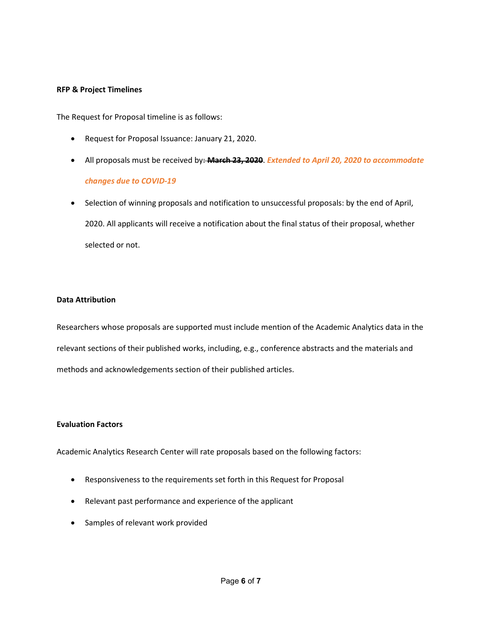### RFP & Project Timelines

The Request for Proposal timeline is as follows:

- Request for Proposal Issuance: January 21, 2020.
- All proposals must be received by: March 23, 2020. Extended to April 20, 2020 to accommodate changes due to COVID-19
- Selection of winning proposals and notification to unsuccessful proposals: by the end of April, 2020. All applicants will receive a notification about the final status of their proposal, whether selected or not.

## Data Attribution

Researchers whose proposals are supported must include mention of the Academic Analytics data in the relevant sections of their published works, including, e.g., conference abstracts and the materials and methods and acknowledgements section of their published articles.

### Evaluation Factors

Academic Analytics Research Center will rate proposals based on the following factors:

- Responsiveness to the requirements set forth in this Request for Proposal
- Relevant past performance and experience of the applicant
- Samples of relevant work provided